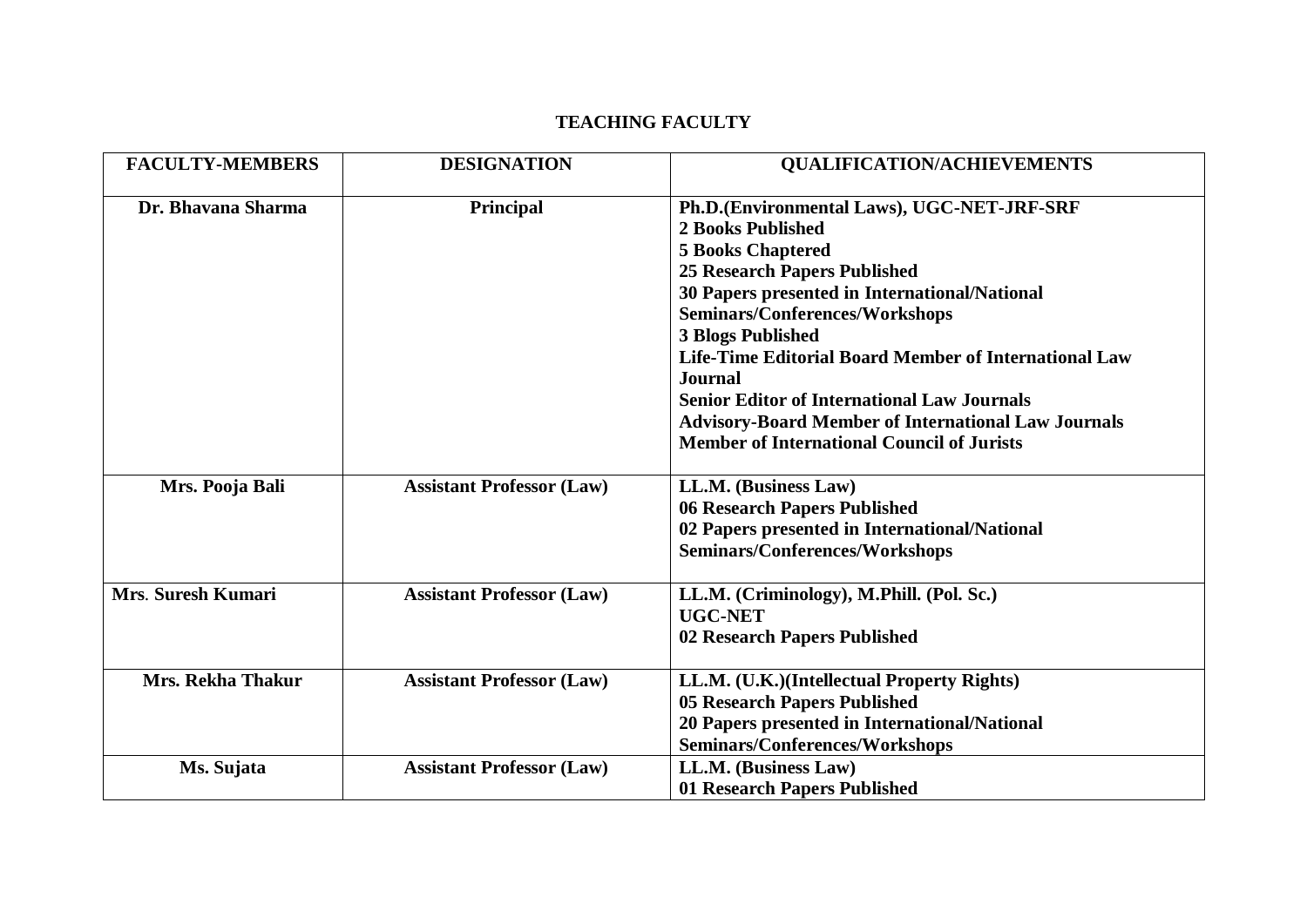## **TEACHING FACULTY**

| <b>FACULTY-MEMBERS</b>   | <b>DESIGNATION</b>               | <b>QUALIFICATION/ACHIEVEMENTS</b>                                                                                                                                                                                                                        |
|--------------------------|----------------------------------|----------------------------------------------------------------------------------------------------------------------------------------------------------------------------------------------------------------------------------------------------------|
| Dr. Bhavana Sharma       | Principal                        | Ph.D.(Environmental Laws), UGC-NET-JRF-SRF<br><b>2 Books Published</b><br><b>5 Books Chaptered</b><br><b>25 Research Papers Published</b><br>30 Papers presented in International/National<br>Seminars/Conferences/Workshops<br><b>3 Blogs Published</b> |
|                          |                                  | Life-Time Editorial Board Member of International Law<br><b>Journal</b><br><b>Senior Editor of International Law Journals</b><br><b>Advisory-Board Member of International Law Journals</b><br><b>Member of International Council of Jurists</b>         |
| Mrs. Pooja Bali          | <b>Assistant Professor (Law)</b> | LL.M. (Business Law)<br>06 Research Papers Published<br>02 Papers presented in International/National<br>Seminars/Conferences/Workshops                                                                                                                  |
| Mrs. Suresh Kumari       | <b>Assistant Professor (Law)</b> | LL.M. (Criminology), M.Phill. (Pol. Sc.)<br><b>UGC-NET</b><br>02 Research Papers Published                                                                                                                                                               |
| <b>Mrs. Rekha Thakur</b> | <b>Assistant Professor (Law)</b> | LL.M. (U.K.)(Intellectual Property Rights)<br><b>05 Research Papers Published</b><br>20 Papers presented in International/National<br>Seminars/Conferences/Workshops                                                                                     |
| Ms. Sujata               | <b>Assistant Professor (Law)</b> | LL.M. (Business Law)<br>01 Research Papers Published                                                                                                                                                                                                     |